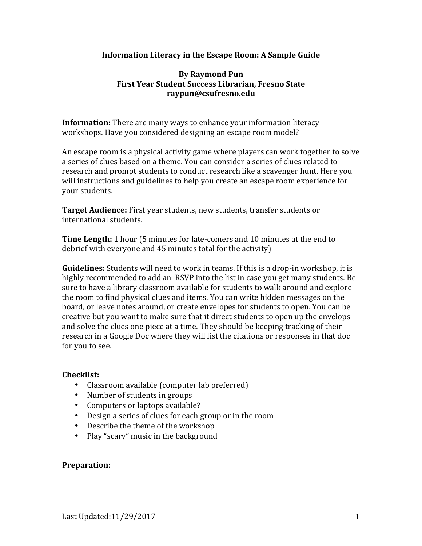#### **Information Literacy in the Escape Room: A Sample Guide**

### **By Raymond Pun First Year Student Success Librarian, Fresno State raypun@csufresno.edu**

**Information:** There are many ways to enhance your information literacy workshops. Have you considered designing an escape room model?

An escape room is a physical activity game where players can work together to solve a series of clues based on a theme. You can consider a series of clues related to research and prompt students to conduct research like a scavenger hunt. Here you will instructions and guidelines to help you create an escape room experience for vour students.

**Target Audience:** First year students, new students, transfer students or international students.

**Time Length:** 1 hour (5 minutes for late-comers and 10 minutes at the end to debrief with everyone and 45 minutes total for the activity)

**Guidelines:** Students will need to work in teams. If this is a drop-in workshop, it is highly recommended to add an RSVP into the list in case you get many students. Be sure to have a library classroom available for students to walk around and explore the room to find physical clues and items. You can write hidden messages on the board, or leave notes around, or create envelopes for students to open. You can be creative but you want to make sure that it direct students to open up the envelops and solve the clues one piece at a time. They should be keeping tracking of their research in a Google Doc where they will list the citations or responses in that doc for you to see.

#### **Checklist:**

- Classroom available (computer lab preferred)
- Number of students in groups
- Computers or laptops available?
- Design a series of clues for each group or in the room
- Describe the theme of the workshop
- Play "scary" music in the background

#### **Preparation:**